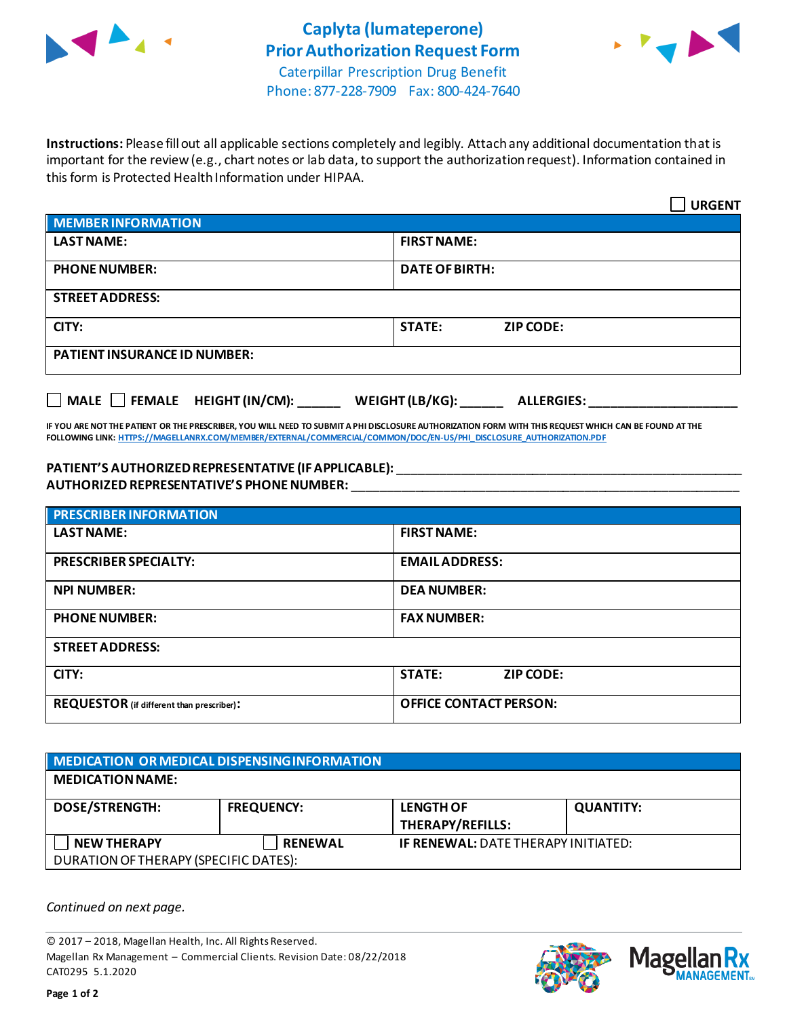



 $\overline{\phantom{0}}$ 

Phone: 877-228-7909 Fax: 800-424-7640

**Instructions:** Please fill out all applicable sections completely and legibly. Attach any additional documentation that is important for the review (e.g., chart notes or lab data, to support the authorization request). Information contained in this form is Protected Health Information under HIPAA.

|                                     | <b>URGENT</b>                     |  |  |  |
|-------------------------------------|-----------------------------------|--|--|--|
| <b>MEMBER INFORMATION</b>           |                                   |  |  |  |
| <b>LAST NAME:</b>                   | <b>FIRST NAME:</b>                |  |  |  |
| <b>PHONE NUMBER:</b>                | <b>DATE OF BIRTH:</b>             |  |  |  |
| <b>STREET ADDRESS:</b>              |                                   |  |  |  |
| CITY:                               | <b>STATE:</b><br><b>ZIP CODE:</b> |  |  |  |
| <b>PATIENT INSURANCE ID NUMBER:</b> |                                   |  |  |  |

**MALE FEMALE HEIGHT (IN/CM): \_\_\_\_\_\_ WEIGHT (LB/KG): \_\_\_\_\_\_ ALLERGIES: \_\_\_\_\_\_\_\_\_\_\_\_\_\_\_\_\_\_\_\_\_**

**IF YOU ARE NOT THE PATIENT OR THE PRESCRIBER, YOU WILL NEED TO SUBMIT A PHI DISCLOSURE AUTHORIZATION FORM WITH THIS REQUEST WHICH CAN BE FOUND AT THE FOLLOWING LINK[: HTTPS://MAGELLANRX.COM/MEMBER/EXTERNAL/COMMERCIAL/COMMON/DOC/EN-US/PHI\\_DISCLOSURE\\_AUTHORIZATION.PDF](https://magellanrx.com/member/external/commercial/common/doc/en-us/PHI_Disclosure_Authorization.pdf)**

## **PATIENT'S AUTHORIZEDREPRESENTATIVE (IF APPLICABLE):** \_\_\_\_\_\_\_\_\_\_\_\_\_\_\_\_\_\_\_\_\_\_\_\_\_\_\_\_\_\_\_\_\_\_\_\_\_\_\_\_\_\_\_\_\_\_\_\_\_ **AUTHORIZED REPRESENTATIVE'S PHONE NUMBER:** \_\_\_\_\_\_\_\_\_\_\_\_\_\_\_\_\_\_\_\_\_\_\_\_\_\_\_\_\_\_\_\_\_\_\_\_\_\_\_\_\_\_\_\_\_\_\_\_\_\_\_\_\_\_\_

| <b>PRESCRIBER INFORMATION</b>             |                                   |  |  |  |
|-------------------------------------------|-----------------------------------|--|--|--|
| <b>LAST NAME:</b>                         | <b>FIRST NAME:</b>                |  |  |  |
| <b>PRESCRIBER SPECIALTY:</b>              | <b>EMAILADDRESS:</b>              |  |  |  |
| <b>NPI NUMBER:</b>                        | <b>DEA NUMBER:</b>                |  |  |  |
| <b>PHONE NUMBER:</b>                      | <b>FAX NUMBER:</b>                |  |  |  |
| <b>STREET ADDRESS:</b>                    |                                   |  |  |  |
| CITY:                                     | <b>STATE:</b><br><b>ZIP CODE:</b> |  |  |  |
| REQUESTOR (if different than prescriber): | <b>OFFICE CONTACT PERSON:</b>     |  |  |  |

| MEDICATION OR MEDICAL DISPENSING INFORMATION                |                   |                                             |                  |  |  |
|-------------------------------------------------------------|-------------------|---------------------------------------------|------------------|--|--|
| <b>MEDICATION NAME:</b>                                     |                   |                                             |                  |  |  |
| <b>DOSE/STRENGTH:</b>                                       | <b>FREQUENCY:</b> | <b>LENGTH OF</b><br><b>THERAPY/REFILLS:</b> | <b>QUANTITY:</b> |  |  |
| <b>NEW THERAPY</b><br>DURATION OF THERAPY (SPECIFIC DATES): | <b>RENEWAL</b>    | <b>IF RENEWAL: DATE THERAPY INITIATED:</b>  |                  |  |  |

*Continued on next page.*

© 2017 – 2018, Magellan Health, Inc. All Rights Reserved. Magellan Rx Management – Commercial Clients. Revision Date: 08/22/2018 CAT0295 5.1.2020